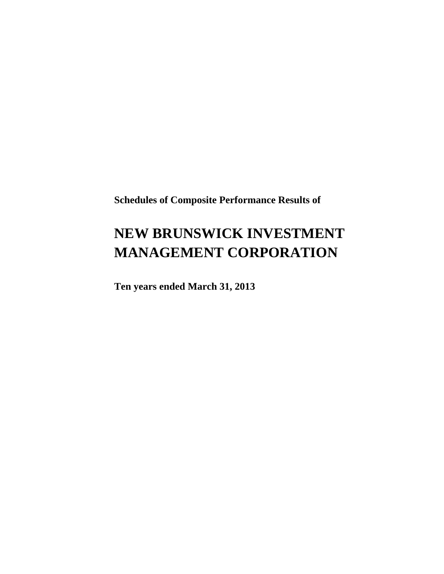**Schedules of Composite Performance Results of** 

# **NEW BRUNSWICK INVESTMENT MANAGEMENT CORPORATION**

**Ten years ended March 31, 2013**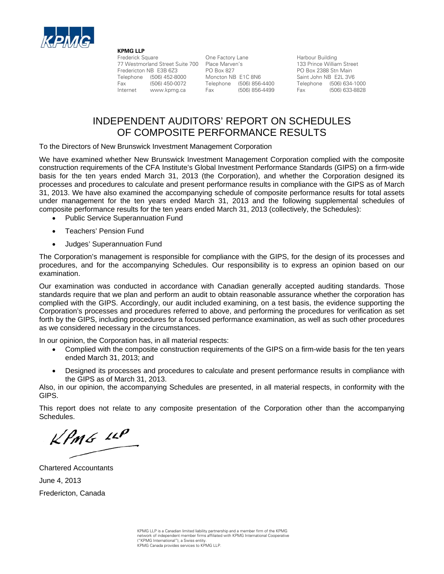

**KPMG LLP** 

77 Westmorland Street Suite 700 Place Marven's 133 Prince William Street Fredericton NB E3B 6Z3 PO Box 827 PO Box 2388 Stn Main Fredericton NB E3B 6Z3 PO Box 827 PO Box 2388 Stn Main<br>Telephone (506) 452-8000 Moncton NB E1C 8N6 Saint John NB E2L 3V6 Telephone (506) 452-8000 Moncton NB E1C 8N6 Saint John NB E2L 3V6 Fax (506) 450-0072 Telephone (506) 856-4400 Telephone (506) 634-1000 Internet www.kpmg.ca Fax (506) 856-4499 Fax (506) 633-8828

Frederick Square **Caucal Cone Factory Lane** Frederick Square **Caucal Cone Factory Lane** Harbour Building<br>The Matter of the Strike Tomagness of the Harbour 133 Prince William Street

### INDEPENDENT AUDITORS' REPORT ON SCHEDULES OF COMPOSITE PERFORMANCE RESULTS

To the Directors of New Brunswick Investment Management Corporation

We have examined whether New Brunswick Investment Management Corporation complied with the composite construction requirements of the CFA Institute's Global Investment Performance Standards (GIPS) on a firm-wide basis for the ten years ended March 31, 2013 (the Corporation), and whether the Corporation designed its processes and procedures to calculate and present performance results in compliance with the GIPS as of March 31, 2013. We have also examined the accompanying schedule of composite performance results for total assets under management for the ten years ended March 31, 2013 and the following supplemental schedules of composite performance results for the ten years ended March 31, 2013 (collectively, the Schedules):

- Public Service Superannuation Fund
- Teachers' Pension Fund
- Judges' Superannuation Fund

The Corporation's management is responsible for compliance with the GIPS, for the design of its processes and procedures, and for the accompanying Schedules. Our responsibility is to express an opinion based on our examination.

Our examination was conducted in accordance with Canadian generally accepted auditing standards. Those standards require that we plan and perform an audit to obtain reasonable assurance whether the corporation has complied with the GIPS. Accordingly, our audit included examining, on a test basis, the evidence supporting the Corporation's processes and procedures referred to above, and performing the procedures for verification as set forth by the GIPS, including procedures for a focused performance examination, as well as such other procedures as we considered necessary in the circumstances.

In our opinion, the Corporation has, in all material respects:

- Complied with the composite construction requirements of the GIPS on a firm-wide basis for the ten years ended March 31, 2013; and
- Designed its processes and procedures to calculate and present performance results in compliance with the GIPS as of March 31, 2013.

Also, in our opinion, the accompanying Schedules are presented, in all material respects, in conformity with the GIPS.

This report does not relate to any composite presentation of the Corporation other than the accompanying Schedules.

 $KPMG$   $\mu$ P

Chartered Accountants June 4, 2013 Fredericton, Canada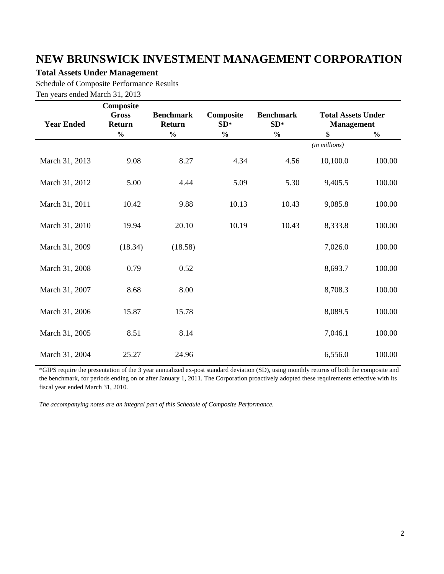### **Total Assets Under Management**

Schedule of Composite Performance Results

Ten years ended March 31, 2013

| <b>Year Ended</b> | Composite<br><b>Gross</b><br><b>Return</b> | <b>Benchmark</b><br><b>Return</b> | Composite<br>$SD*$ | <b>Benchmark</b><br>$SD*$ | <b>Total Assets Under</b><br><b>Management</b> |               |
|-------------------|--------------------------------------------|-----------------------------------|--------------------|---------------------------|------------------------------------------------|---------------|
|                   | $\frac{0}{0}$                              | $\frac{0}{0}$                     | $\frac{1}{2}$      | $\frac{0}{0}$             | \$                                             | $\frac{0}{0}$ |
|                   |                                            |                                   |                    |                           | (in millions)                                  |               |
| March 31, 2013    | 9.08                                       | 8.27                              | 4.34               | 4.56                      | 10,100.0                                       | 100.00        |
| March 31, 2012    | 5.00                                       | 4.44                              | 5.09               | 5.30                      | 9,405.5                                        | 100.00        |
| March 31, 2011    | 10.42                                      | 9.88                              | 10.13              | 10.43                     | 9,085.8                                        | 100.00        |
| March 31, 2010    | 19.94                                      | 20.10                             | 10.19              | 10.43                     | 8,333.8                                        | 100.00        |
| March 31, 2009    | (18.34)                                    | (18.58)                           |                    |                           | 7,026.0                                        | 100.00        |
| March 31, 2008    | 0.79                                       | 0.52                              |                    |                           | 8,693.7                                        | 100.00        |
| March 31, 2007    | 8.68                                       | 8.00                              |                    |                           | 8,708.3                                        | 100.00        |
| March 31, 2006    | 15.87                                      | 15.78                             |                    |                           | 8,089.5                                        | 100.00        |
| March 31, 2005    | 8.51                                       | 8.14                              |                    |                           | 7,046.1                                        | 100.00        |
| March 31, 2004    | 25.27                                      | 24.96                             |                    |                           | 6,556.0                                        | 100.00        |

\*GIPS require the presentation of the 3 year annualized ex-post standard deviation (SD), using monthly returns of both the composite and the benchmark, for periods ending on or after January 1, 2011. The Corporation proactively adopted these requirements effective with its fiscal year ended March 31, 2010.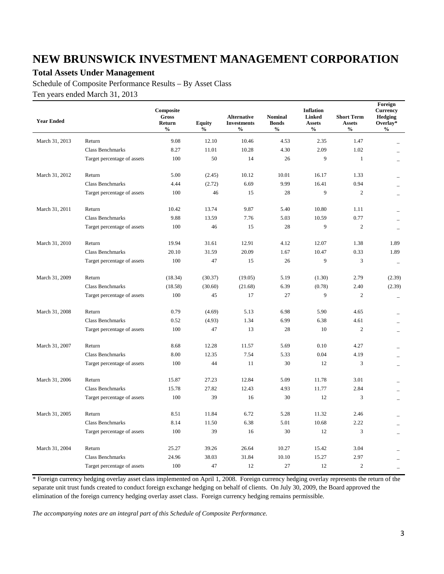### **Total Assets Under Management**

Schedule of Composite Performance Results – By Asset Class Ten years ended March 31, 2013

| <b>Year Ended</b> |                             | Composite<br><b>Gross</b><br>Return<br>$\frac{0}{0}$ | <b>Equity</b><br>$\frac{6}{9}$ | <b>Alternative</b><br><b>Investments</b><br>$\frac{6}{6}$ | <b>Nominal</b><br><b>Bonds</b><br>$\frac{0}{0}$ | <b>Inflation</b><br><b>Linked</b><br><b>Assets</b><br>$\frac{0}{0}$ | <b>Short Term</b><br><b>Assets</b><br>$\frac{0}{0}$ | Foreign<br><b>Currency</b><br>Hedging<br>Overlay*<br>$\frac{0}{0}$ |
|-------------------|-----------------------------|------------------------------------------------------|--------------------------------|-----------------------------------------------------------|-------------------------------------------------|---------------------------------------------------------------------|-----------------------------------------------------|--------------------------------------------------------------------|
| March 31, 2013    | Return                      | 9.08                                                 | 12.10                          | 10.46                                                     | 4.53                                            | 2.35                                                                | 1.47                                                |                                                                    |
|                   | <b>Class Benchmarks</b>     | 8.27                                                 | 11.01                          | 10.28                                                     | 4.30                                            | 2.09                                                                | 1.02                                                |                                                                    |
|                   | Target percentage of assets | 100                                                  | 50                             | 14                                                        | 26                                              | 9                                                                   | $\mathbf{1}$                                        |                                                                    |
| March 31, 2012    | Return                      | 5.00                                                 | (2.45)                         | 10.12                                                     | 10.01                                           | 16.17                                                               | 1.33                                                |                                                                    |
|                   | <b>Class Benchmarks</b>     | 4.44                                                 | (2.72)                         | 6.69                                                      | 9.99                                            | 16.41                                                               | 0.94                                                |                                                                    |
|                   | Target percentage of assets | 100                                                  | 46                             | 15                                                        | 28                                              | 9                                                                   | $\overline{c}$                                      |                                                                    |
| March 31, 2011    | Return                      | 10.42                                                | 13.74                          | 9.87                                                      | 5.40                                            | 10.80                                                               | 1.11                                                |                                                                    |
|                   | <b>Class Benchmarks</b>     | 9.88                                                 | 13.59                          | 7.76                                                      | 5.03                                            | 10.59                                                               | 0.77                                                |                                                                    |
|                   | Target percentage of assets | 100                                                  | 46                             | 15                                                        | 28                                              | 9                                                                   | $\overline{2}$                                      | $\overline{\phantom{a}}$                                           |
| March 31, 2010    | Return                      | 19.94                                                | 31.61                          | 12.91                                                     | 4.12                                            | 12.07                                                               | 1.38                                                | 1.89                                                               |
|                   | <b>Class Benchmarks</b>     | 20.10                                                | 31.59                          | 20.09                                                     | 1.67                                            | 10.47                                                               | 0.33                                                | 1.89                                                               |
|                   | Target percentage of assets | 100                                                  | 47                             | 15                                                        | 26                                              | 9                                                                   | 3                                                   | $\sim$                                                             |
| March 31, 2009    | Return                      | (18.34)                                              | (30.37)                        | (19.05)                                                   | 5.19                                            | (1.30)                                                              | 2.79                                                | (2.39)                                                             |
|                   | <b>Class Benchmarks</b>     | (18.58)                                              | (30.60)                        | (21.68)                                                   | 6.39                                            | (0.78)                                                              | 2.40                                                | (2.39)                                                             |
|                   | Target percentage of assets | 100                                                  | 45                             | 17                                                        | 27                                              | 9                                                                   | $\overline{c}$                                      |                                                                    |
| March 31, 2008    | Return                      | 0.79                                                 | (4.69)                         | 5.13                                                      | 6.98                                            | 5.90                                                                | 4.65                                                |                                                                    |
|                   | <b>Class Benchmarks</b>     | 0.52                                                 | (4.93)                         | 1.34                                                      | 6.99                                            | 6.38                                                                | 4.61                                                |                                                                    |
|                   | Target percentage of assets | 100                                                  | 47                             | 13                                                        | 28                                              | 10                                                                  | $\overline{2}$                                      | $\overline{\phantom{0}}$                                           |
| March 31, 2007    | Return                      | 8.68                                                 | 12.28                          | 11.57                                                     | 5.69                                            | 0.10                                                                | 4.27                                                |                                                                    |
|                   | <b>Class Benchmarks</b>     | 8.00                                                 | 12.35                          | 7.54                                                      | 5.33                                            | 0.04                                                                | 4.19                                                |                                                                    |
|                   | Target percentage of assets | 100                                                  | 44                             | 11                                                        | 30                                              | 12                                                                  | $\overline{3}$                                      | $\overline{\phantom{0}}$                                           |
| March 31, 2006    | Return                      | 15.87                                                | 27.23                          | 12.84                                                     | 5.09                                            | 11.78                                                               | 3.01                                                |                                                                    |
|                   | <b>Class Benchmarks</b>     | 15.78                                                | 27.82                          | 12.43                                                     | 4.93                                            | 11.77                                                               | 2.84                                                |                                                                    |
|                   | Target percentage of assets | 100                                                  | 39                             | 16                                                        | 30                                              | 12                                                                  | 3                                                   |                                                                    |
| March 31, 2005    | Return                      | 8.51                                                 | 11.84                          | 6.72                                                      | 5.28                                            | 11.32                                                               | 2.46                                                |                                                                    |
|                   | <b>Class Benchmarks</b>     | 8.14                                                 | 11.50                          | 6.38                                                      | 5.01                                            | 10.68                                                               | 2.22                                                |                                                                    |
|                   | Target percentage of assets | 100                                                  | 39                             | 16                                                        | 30                                              | 12                                                                  | 3                                                   |                                                                    |
| March 31, 2004    | Return                      | 25.27                                                | 39.26                          | 26.64                                                     | 10.27                                           | 15.42                                                               | 3.04                                                |                                                                    |
|                   | <b>Class Benchmarks</b>     | 24.96                                                | 38.03                          | 31.84                                                     | 10.10                                           | 15.27                                                               | 2.97                                                | $\overline{\phantom{a}}$                                           |
|                   | Target percentage of assets | 100                                                  | 47                             | 12                                                        | 27                                              | 12                                                                  | $\overline{c}$                                      |                                                                    |

\* Foreign currency hedging overlay asset class implemented on April 1, 2008. Foreign currency hedging overlay represents the return of the separate unit trust funds created to conduct foreign exchange hedging on behalf of clients. On July 30, 2009, the Board approved the elimination of the foreign currency hedging overlay asset class. Foreign currency hedging remains permissible.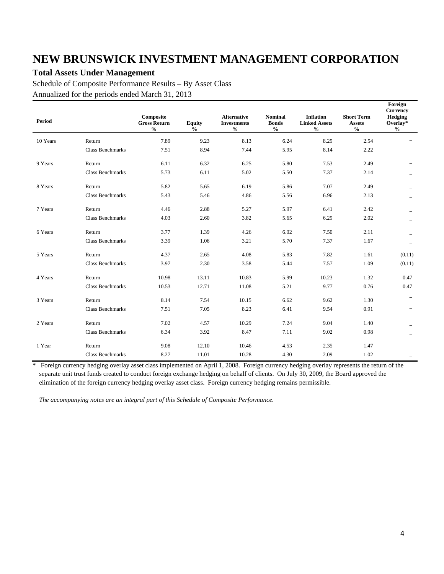#### **Total Assets Under Management**

Schedule of Composite Performance Results – By Asset Class Annualized for the periods ended March 31, 2013

| <b>Period</b> |                         | Composite<br><b>Gross Return</b><br>$\boldsymbol{\theta}/\boldsymbol{0}$ | <b>Equity</b><br>$\boldsymbol{\theta}/\boldsymbol{0}$ | <b>Alternative</b><br><b>Investments</b><br>$\mathcal{V}_{\mathbf{0}}$ | <b>Nominal</b><br><b>Bonds</b><br>$\frac{0}{0}$ | <b>Inflation</b><br><b>Linked Assets</b><br>$\frac{0}{0}$ | <b>Short Term</b><br><b>Assets</b><br>$\frac{0}{0}$ | Foreign<br>Currency<br>Hedging<br>Overlay*<br>$\frac{0}{0}$ |
|---------------|-------------------------|--------------------------------------------------------------------------|-------------------------------------------------------|------------------------------------------------------------------------|-------------------------------------------------|-----------------------------------------------------------|-----------------------------------------------------|-------------------------------------------------------------|
| 10 Years      | Return                  | 7.89                                                                     | 9.23                                                  | 8.13                                                                   | 6.24                                            | 8.29                                                      | 2.54                                                |                                                             |
|               | <b>Class Benchmarks</b> | 7.51                                                                     | 8.94                                                  | 7.44                                                                   | 5.95                                            | 8.14                                                      | 2.22                                                |                                                             |
| 9 Years       | Return                  | 6.11                                                                     | 6.32                                                  | 6.25                                                                   | 5.80                                            | 7.53                                                      | 2.49                                                |                                                             |
|               | <b>Class Benchmarks</b> | 5.73                                                                     | 6.11                                                  | 5.02                                                                   | 5.50                                            | 7.37                                                      | 2.14                                                |                                                             |
| 8 Years       | Return                  | 5.82                                                                     | 5.65                                                  | 6.19                                                                   | 5.86                                            | 7.07                                                      | 2.49                                                |                                                             |
|               | <b>Class Benchmarks</b> | 5.43                                                                     | 5.46                                                  | 4.86                                                                   | 5.56                                            | 6.96                                                      | 2.13                                                |                                                             |
| 7 Years       | Return                  | 4.46                                                                     | 2.88                                                  | 5.27                                                                   | 5.97                                            | 6.41                                                      | 2.42                                                |                                                             |
|               | <b>Class Benchmarks</b> | 4.03                                                                     | 2.60                                                  | 3.82                                                                   | 5.65                                            | 6.29                                                      | 2.02                                                |                                                             |
| 6 Years       | Return                  | 3.77                                                                     | 1.39                                                  | 4.26                                                                   | 6.02                                            | 7.50                                                      | 2.11                                                |                                                             |
|               | <b>Class Benchmarks</b> | 3.39                                                                     | 1.06                                                  | 3.21                                                                   | 5.70                                            | 7.37                                                      | 1.67                                                |                                                             |
| 5 Years       | Return                  | 4.37                                                                     | 2.65                                                  | 4.08                                                                   | 5.83                                            | 7.82                                                      | 1.61                                                | (0.11)                                                      |
|               | <b>Class Benchmarks</b> | 3.97                                                                     | 2.30                                                  | 3.58                                                                   | 5.44                                            | 7.57                                                      | 1.09                                                | (0.11)                                                      |
| 4 Years       | Return                  | 10.98                                                                    | 13.11                                                 | 10.83                                                                  | 5.99                                            | 10.23                                                     | 1.32                                                | 0.47                                                        |
|               | Class Benchmarks        | 10.53                                                                    | 12.71                                                 | 11.08                                                                  | 5.21                                            | 9.77                                                      | 0.76                                                | 0.47                                                        |
| 3 Years       | Return                  | 8.14                                                                     | 7.54                                                  | 10.15                                                                  | 6.62                                            | 9.62                                                      | 1.30                                                |                                                             |
|               | <b>Class Benchmarks</b> | 7.51                                                                     | 7.05                                                  | 8.23                                                                   | 6.41                                            | 9.54                                                      | 0.91                                                |                                                             |
| 2 Years       | Return                  | 7.02                                                                     | 4.57                                                  | 10.29                                                                  | 7.24                                            | 9.04                                                      | 1.40                                                |                                                             |
|               | <b>Class Benchmarks</b> | 6.34                                                                     | 3.92                                                  | 8.47                                                                   | 7.11                                            | 9.02                                                      | 0.98                                                |                                                             |
| 1 Year        | Return                  | 9.08                                                                     | 12.10                                                 | 10.46                                                                  | 4.53                                            | 2.35                                                      | 1.47                                                |                                                             |
|               | <b>Class Benchmarks</b> | 8.27                                                                     | 11.01                                                 | 10.28                                                                  | 4.30                                            | 2.09                                                      | 1.02                                                |                                                             |

\* Foreign currency hedging overlay asset class implemented on April 1, 2008. Foreign currency hedging overlay represents the return of the separate unit trust funds created to conduct foreign exchange hedging on behalf of clients. On July 30, 2009, the Board approved the elimination of the foreign currency hedging overlay asset class. Foreign currency hedging remains permissible.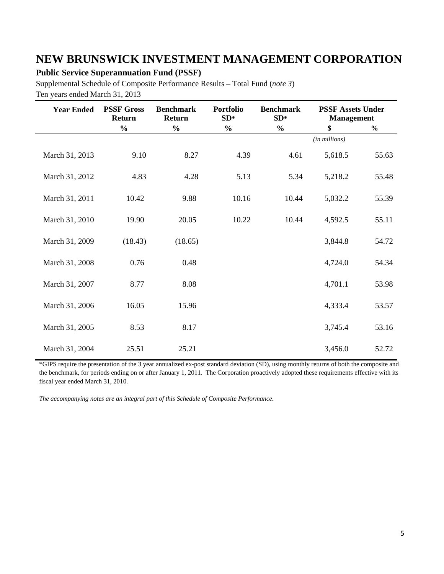#### **Public Service Superannuation Fund (PSSF)**

Supplemental Schedule of Composite Performance Results – Total Fund (*note 3*) Ten years ended March 31, 2013

| <b>Year Ended</b> | <b>PSSF Gross</b><br><b>Return</b> | <b>Benchmark</b><br><b>Return</b> | <b>Portfolio</b><br><b>Benchmark</b><br>$SD*$<br>$SD*$ |               | <b>PSSF Assets Under</b><br><b>Management</b> |               |
|-------------------|------------------------------------|-----------------------------------|--------------------------------------------------------|---------------|-----------------------------------------------|---------------|
|                   | $\frac{0}{0}$                      | $\frac{0}{0}$                     | $\frac{0}{0}$                                          | $\frac{0}{0}$ | \$                                            | $\frac{0}{0}$ |
|                   |                                    |                                   |                                                        |               | (in millions)                                 |               |
| March 31, 2013    | 9.10                               | 8.27                              | 4.39                                                   | 4.61          | 5,618.5                                       | 55.63         |
| March 31, 2012    | 4.83                               | 4.28                              | 5.13                                                   | 5.34          | 5,218.2                                       | 55.48         |
| March 31, 2011    | 10.42                              | 9.88                              | 10.16                                                  | 10.44         | 5,032.2                                       | 55.39         |
| March 31, 2010    | 19.90                              | 20.05                             | 10.22                                                  | 10.44         | 4,592.5                                       | 55.11         |
| March 31, 2009    | (18.43)                            | (18.65)                           |                                                        |               | 3,844.8                                       | 54.72         |
| March 31, 2008    | 0.76                               | 0.48                              |                                                        |               | 4,724.0                                       | 54.34         |
| March 31, 2007    | 8.77                               | 8.08                              |                                                        |               | 4,701.1                                       | 53.98         |
| March 31, 2006    | 16.05                              | 15.96                             |                                                        |               | 4,333.4                                       | 53.57         |
| March 31, 2005    | 8.53                               | 8.17                              |                                                        |               | 3,745.4                                       | 53.16         |
| March 31, 2004    | 25.51                              | 25.21                             |                                                        |               | 3,456.0                                       | 52.72         |

\*GIPS require the presentation of the 3 year annualized ex-post standard deviation (SD), using monthly returns of both the composite and the benchmark, for periods ending on or after January 1, 2011. The Corporation proactively adopted these requirements effective with its fiscal year ended March 31, 2010.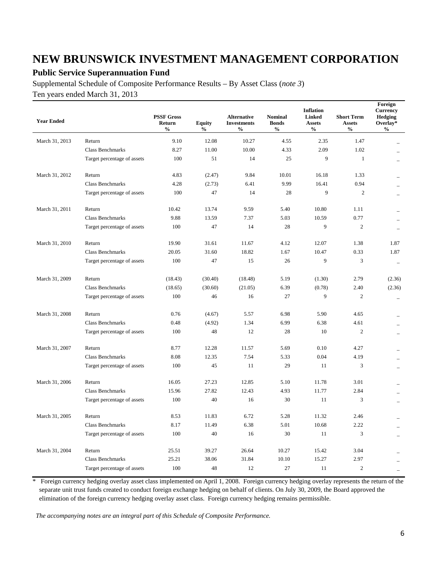### **Public Service Superannuation Fund**

Supplemental Schedule of Composite Performance Results – By Asset Class (*note 3*) Ten years ended March 31, 2013

| <b>Year Ended</b> |                             | <b>PSSF Gross</b><br>Return<br>$\%$ | <b>Equity</b><br>$\%$ | Alternative<br><b>Investments</b><br>$\frac{0}{0}$ | <b>Nominal</b><br><b>Bonds</b><br>$\%$ | <b>Inflation</b><br><b>Linked</b><br><b>Assets</b><br>$\%$ | <b>Short Term</b><br><b>Assets</b><br>$\%$ | Foreign<br>Currency<br>Hedging<br>Overlay*<br>$\frac{0}{0}$ |
|-------------------|-----------------------------|-------------------------------------|-----------------------|----------------------------------------------------|----------------------------------------|------------------------------------------------------------|--------------------------------------------|-------------------------------------------------------------|
| March 31, 2013    | Return                      | 9.10                                | 12.08                 | 10.27                                              | 4.55                                   | 2.35                                                       | 1.47                                       |                                                             |
|                   | <b>Class Benchmarks</b>     | 8.27                                | 11.00                 | 10.00                                              | 4.33                                   | 2.09                                                       | 1.02                                       |                                                             |
|                   | Target percentage of assets | 100                                 | 51                    | 14                                                 | 25                                     | 9                                                          | $\mathbf{1}$                               | $\overline{\phantom{0}}$                                    |
| March 31, 2012    | Return                      | 4.83                                | (2.47)                | 9.84                                               | 10.01                                  | 16.18                                                      | 1.33                                       |                                                             |
|                   | <b>Class Benchmarks</b>     | 4.28                                | (2.73)                | 6.41                                               | 9.99                                   | 16.41                                                      | 0.94                                       |                                                             |
|                   | Target percentage of assets | 100                                 | 47                    | 14                                                 | 28                                     | 9                                                          | $\overline{c}$                             |                                                             |
| March 31, 2011    | Return                      | 10.42                               | 13.74                 | 9.59                                               | 5.40                                   | 10.80                                                      | 1.11                                       |                                                             |
|                   | <b>Class Benchmarks</b>     | 9.88                                | 13.59                 | 7.37                                               | 5.03                                   | 10.59                                                      | 0.77                                       |                                                             |
|                   | Target percentage of assets | 100                                 | 47                    | 14                                                 | 28                                     | 9                                                          | $\overline{c}$                             |                                                             |
| March 31, 2010    | Return                      | 19.90                               | 31.61                 | 11.67                                              | 4.12                                   | 12.07                                                      | 1.38                                       | 1.87                                                        |
|                   | <b>Class Benchmarks</b>     | 20.05                               | 31.60                 | 18.82                                              | 1.67                                   | 10.47                                                      | 0.33                                       | 1.87                                                        |
|                   | Target percentage of assets | 100                                 | 47                    | 15                                                 | 26                                     | 9                                                          | 3                                          | $\overline{\phantom{0}}$                                    |
| March 31, 2009    | Return                      | (18.43)                             | (30.40)               | (18.48)                                            | 5.19                                   | (1.30)                                                     | 2.79                                       | (2.36)                                                      |
|                   | <b>Class Benchmarks</b>     | (18.65)                             | (30.60)               | (21.05)                                            | 6.39                                   | (0.78)                                                     | 2.40                                       | (2.36)                                                      |
|                   | Target percentage of assets | 100                                 | 46                    | 16                                                 | 27                                     | 9                                                          | $\overline{2}$                             |                                                             |
| March 31, 2008    | Return                      | 0.76                                | (4.67)                | 5.57                                               | 6.98                                   | 5.90                                                       | 4.65                                       |                                                             |
|                   | <b>Class Benchmarks</b>     | 0.48                                | (4.92)                | 1.34                                               | 6.99                                   | 6.38                                                       | 4.61                                       |                                                             |
|                   | Target percentage of assets | 100                                 | 48                    | 12                                                 | 28                                     | 10                                                         | $\overline{2}$                             | $\equiv$                                                    |
| March 31, 2007    | Return                      | 8.77                                | 12.28                 | 11.57                                              | 5.69                                   | 0.10                                                       | 4.27                                       |                                                             |
|                   | <b>Class Benchmarks</b>     | 8.08                                | 12.35                 | 7.54                                               | 5.33                                   | 0.04                                                       | 4.19                                       |                                                             |
|                   | Target percentage of assets | 100                                 | 45                    | 11                                                 | 29                                     | 11                                                         | $\overline{3}$                             |                                                             |
| March 31, 2006    | Return                      | 16.05                               | 27.23                 | 12.85                                              | 5.10                                   | 11.78                                                      | 3.01                                       |                                                             |
|                   | <b>Class Benchmarks</b>     | 15.96                               | 27.82                 | 12.43                                              | 4.93                                   | 11.77                                                      | 2.84                                       |                                                             |
|                   | Target percentage of assets | 100                                 | 40                    | 16                                                 | 30                                     | 11                                                         | 3                                          |                                                             |
| March 31, 2005    | Return                      | 8.53                                | 11.83                 | 6.72                                               | 5.28                                   | 11.32                                                      | 2.46                                       |                                                             |
|                   | <b>Class Benchmarks</b>     | 8.17                                | 11.49                 | 6.38                                               | 5.01                                   | 10.68                                                      | 2.22                                       |                                                             |
|                   | Target percentage of assets | 100                                 | 40                    | 16                                                 | 30                                     | 11                                                         | 3                                          |                                                             |
| March 31, 2004    | Return                      | 25.51                               | 39.27                 | 26.64                                              | 10.27                                  | 15.42                                                      | 3.04                                       |                                                             |
|                   | <b>Class Benchmarks</b>     | 25.21                               | 38.06                 | 31.84                                              | 10.10                                  | 15.27                                                      | 2.97                                       | $\overline{\phantom{a}}$                                    |
|                   | Target percentage of assets | 100                                 | 48                    | 12                                                 | 27                                     | 11                                                         | $\overline{c}$                             |                                                             |

\* Foreign currency hedging overlay asset class implemented on April 1, 2008. Foreign currency hedging overlay represents the return of the separate unit trust funds created to conduct foreign exchange hedging on behalf of clients. On July 30, 2009, the Board approved the elimination of the foreign currency hedging overlay asset class. Foreign currency hedging remains permissible.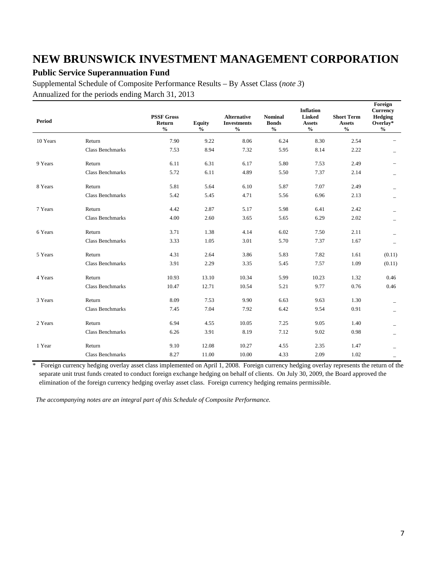### **Public Service Superannuation Fund**

Supplemental Schedule of Composite Performance Results – By Asset Class (*note 3*) Annualized for the periods ending March 31, 2013

| Period   |                         | <b>PSSF Gross</b><br>Return<br>$\frac{0}{0}$ | <b>Equity</b><br>$\frac{0}{0}$ | <b>Alternative</b><br><b>Investments</b><br>$\frac{0}{0}$ | <b>Nominal</b><br><b>Bonds</b><br>$\frac{0}{0}$ | <b>Inflation</b><br><b>Linked</b><br><b>Assets</b><br>$\frac{0}{0}$ | <b>Short Term</b><br><b>Assets</b><br>$\frac{0}{0}$ | Foreign<br><b>Currency</b><br>Hedging<br>Overlay*<br>$\frac{0}{0}$ |
|----------|-------------------------|----------------------------------------------|--------------------------------|-----------------------------------------------------------|-------------------------------------------------|---------------------------------------------------------------------|-----------------------------------------------------|--------------------------------------------------------------------|
| 10 Years | Return                  | 7.90                                         | 9.22                           | 8.06                                                      | 6.24                                            | 8.30                                                                | 2.54                                                |                                                                    |
|          | <b>Class Benchmarks</b> | 7.53                                         | 8.94                           | 7.32                                                      | 5.95                                            | 8.14                                                                | 2.22                                                |                                                                    |
| 9 Years  | Return                  | 6.11                                         | 6.31                           | 6.17                                                      | 5.80                                            | 7.53                                                                | 2.49                                                |                                                                    |
|          | <b>Class Benchmarks</b> | 5.72                                         | 6.11                           | 4.89                                                      | 5.50                                            | 7.37                                                                | 2.14                                                |                                                                    |
| 8 Years  | Return                  | 5.81                                         | 5.64                           | 6.10                                                      | 5.87                                            | 7.07                                                                | 2.49                                                |                                                                    |
|          | <b>Class Benchmarks</b> | 5.42                                         | 5.45                           | 4.71                                                      | 5.56                                            | 6.96                                                                | 2.13                                                | -                                                                  |
| 7 Years  | Return                  | 4.42                                         | 2.87                           | 5.17                                                      | 5.98                                            | 6.41                                                                | 2.42                                                |                                                                    |
|          | Class Benchmarks        | 4.00                                         | 2.60                           | 3.65                                                      | 5.65                                            | 6.29                                                                | 2.02                                                |                                                                    |
| 6 Years  | Return                  | 3.71                                         | 1.38                           | 4.14                                                      | 6.02                                            | 7.50                                                                | 2.11                                                |                                                                    |
|          | <b>Class Benchmarks</b> | 3.33                                         | 1.05                           | 3.01                                                      | 5.70                                            | 7.37                                                                | 1.67                                                |                                                                    |
| 5 Years  | Return                  | 4.31                                         | 2.64                           | 3.86                                                      | 5.83                                            | 7.82                                                                | 1.61                                                | (0.11)                                                             |
|          | <b>Class Benchmarks</b> | 3.91                                         | 2.29                           | 3.35                                                      | 5.45                                            | 7.57                                                                | 1.09                                                | (0.11)                                                             |
| 4 Years  | Return                  | 10.93                                        | 13.10                          | 10.34                                                     | 5.99                                            | 10.23                                                               | 1.32                                                | 0.46                                                               |
|          | Class Benchmarks        | 10.47                                        | 12.71                          | 10.54                                                     | 5.21                                            | 9.77                                                                | 0.76                                                | 0.46                                                               |
| 3 Years  | Return                  | 8.09                                         | 7.53                           | 9.90                                                      | 6.63                                            | 9.63                                                                | 1.30                                                |                                                                    |
|          | <b>Class Benchmarks</b> | 7.45                                         | 7.04                           | 7.92                                                      | 6.42                                            | 9.54                                                                | 0.91                                                |                                                                    |
| 2 Years  | Return                  | 6.94                                         | 4.55                           | 10.05                                                     | 7.25                                            | 9.05                                                                | 1.40                                                |                                                                    |
|          | <b>Class Benchmarks</b> | 6.26                                         | 3.91                           | 8.19                                                      | 7.12                                            | 9.02                                                                | 0.98                                                |                                                                    |
| 1 Year   | Return                  | 9.10                                         | 12.08                          | 10.27                                                     | 4.55                                            | 2.35                                                                | 1.47                                                |                                                                    |
|          | <b>Class Benchmarks</b> | 8.27                                         | 11.00                          | 10.00                                                     | 4.33                                            | 2.09                                                                | 1.02                                                |                                                                    |

\* Foreign currency hedging overlay asset class implemented on April 1, 2008. Foreign currency hedging overlay represents the return of the separate unit trust funds created to conduct foreign exchange hedging on behalf of clients. On July 30, 2009, the Board approved the elimination of the foreign currency hedging overlay asset class. Foreign currency hedging remains permissible.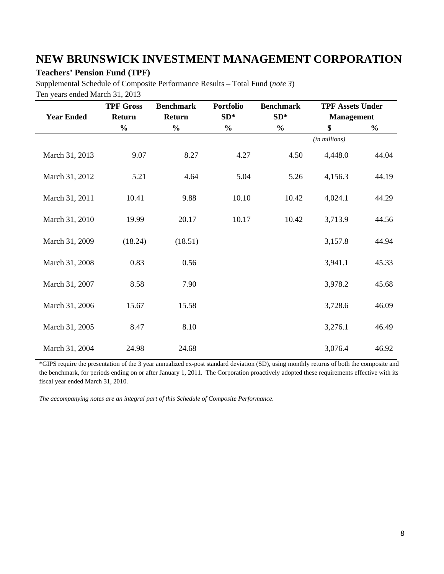### **Teachers' Pension Fund (TPF)**

Supplemental Schedule of Composite Performance Results – Total Fund (*note 3*) Ten years ended March 31, 2013

| <b>Year Ended</b> | <b>TPF Gross</b><br><b>Return</b> | <b>Benchmark</b><br>Return | <b>Portfolio</b><br>$SD*$ | <b>Benchmark</b><br>$SD*$ | <b>TPF Assets Under</b><br><b>Management</b> |               |
|-------------------|-----------------------------------|----------------------------|---------------------------|---------------------------|----------------------------------------------|---------------|
|                   | $\frac{0}{0}$                     | $\frac{0}{0}$              | $\frac{0}{0}$             | $\frac{0}{0}$             | \$                                           | $\frac{0}{0}$ |
|                   |                                   |                            |                           |                           | (in millions)                                |               |
| March 31, 2013    | 9.07                              | 8.27                       | 4.27                      | 4.50                      | 4,448.0                                      | 44.04         |
| March 31, 2012    | 5.21                              | 4.64                       | 5.04                      | 5.26                      | 4,156.3                                      | 44.19         |
| March 31, 2011    | 10.41                             | 9.88                       | 10.10                     | 10.42                     | 4,024.1                                      | 44.29         |
| March 31, 2010    | 19.99                             | 20.17                      | 10.17                     | 10.42                     | 3,713.9                                      | 44.56         |
| March 31, 2009    | (18.24)                           | (18.51)                    |                           |                           | 3,157.8                                      | 44.94         |
| March 31, 2008    | 0.83                              | 0.56                       |                           |                           | 3,941.1                                      | 45.33         |
| March 31, 2007    | 8.58                              | 7.90                       |                           |                           | 3,978.2                                      | 45.68         |
| March 31, 2006    | 15.67                             | 15.58                      |                           |                           | 3,728.6                                      | 46.09         |
| March 31, 2005    | 8.47                              | 8.10                       |                           |                           | 3,276.1                                      | 46.49         |
| March 31, 2004    | 24.98                             | 24.68                      |                           |                           | 3,076.4                                      | 46.92         |

\*GIPS require the presentation of the 3 year annualized ex-post standard deviation (SD), using monthly returns of both the composite and the benchmark, for periods ending on or after January 1, 2011. The Corporation proactively adopted these requirements effective with its fiscal year ended March 31, 2010.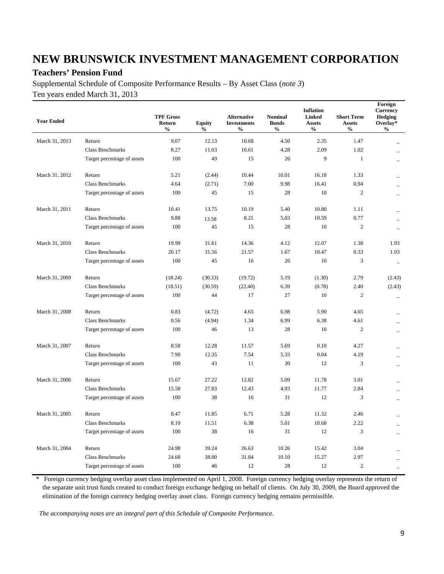### **Teachers' Pension Fund**

Supplemental Schedule of Composite Performance Results – By Asset Class (*note 3*) Ten years ended March 31, 2013

| <b>Year Ended</b> |                             | <b>TPF Gross</b><br>Return<br>$\frac{0}{0}$ | <b>Equity</b><br>$\frac{0}{0}$ | Alternative<br><b>Investments</b><br>$\frac{0}{0}$ | <b>Nominal</b><br><b>Bonds</b><br>$\frac{0}{0}$ | <b>Inflation</b><br><b>Linked</b><br><b>Assets</b><br>$\frac{0}{0}$ | <b>Short Term</b><br><b>Assets</b><br>$\frac{6}{6}$ | Foreign<br><b>Currency</b><br>Hedging<br>Overlay*<br>$\frac{0}{0}$ |
|-------------------|-----------------------------|---------------------------------------------|--------------------------------|----------------------------------------------------|-------------------------------------------------|---------------------------------------------------------------------|-----------------------------------------------------|--------------------------------------------------------------------|
| March 31, 2013    | Return                      | 9.07                                        | 12.13                          | 10.68                                              | 4.50                                            | 2.35                                                                | 1.47                                                |                                                                    |
|                   | Class Benchmarks            | 8.27                                        | 11.03                          | 10.61                                              | 4.28                                            | 2.09                                                                | 1.02                                                |                                                                    |
|                   | Target percentage of assets | 100                                         | 49                             | 15                                                 | 26                                              | 9                                                                   | $\mathbf{1}$                                        | $\equiv$                                                           |
| March 31, 2012    | Return                      | 5.21                                        | (2.44)                         | 10.44                                              | 10.01                                           | 16.18                                                               | 1.33                                                |                                                                    |
|                   | <b>Class Benchmarks</b>     | 4.64                                        | (2.71)                         | 7.00                                               | 9.98                                            | 16.41                                                               | 0.94                                                |                                                                    |
|                   | Target percentage of assets | 100                                         | 45                             | 15                                                 | 28                                              | 10                                                                  | $\overline{2}$                                      |                                                                    |
| March 31, 2011    | Return                      | 10.41                                       | 13.75                          | 10.19                                              | 5.40                                            | 10.80                                                               | 1.11                                                |                                                                    |
|                   | Class Benchmarks            | 9.88                                        | 13.58                          | 8.21                                               | 5.03                                            | 10.59                                                               | 0.77                                                | $\equiv$                                                           |
|                   | Target percentage of assets | 100                                         | 45                             | 15                                                 | 28                                              | 10                                                                  | $\overline{c}$                                      |                                                                    |
| March 31, 2010    | Return                      | 19.99                                       | 31.61                          | 14.36                                              | 4.12                                            | 12.07                                                               | 1.38                                                | 1.93                                                               |
|                   | Class Benchmarks            | 20.17                                       | 31.56                          | 21.57                                              | 1.67                                            | 10.47                                                               | 0.33                                                | 1.93                                                               |
|                   | Target percentage of assets | 100                                         | 45                             | 16                                                 | 26                                              | 10                                                                  | 3                                                   | $\overline{\phantom{0}}$                                           |
| March 31, 2009    | Return                      | (18.24)                                     | (30.33)                        | (19.72)                                            | 5.19                                            | (1.30)                                                              | 2.79                                                | (2.43)                                                             |
|                   | <b>Class Benchmarks</b>     | (18.51)                                     | (30.59)                        | (22.40)                                            | 6.39                                            | (0.78)                                                              | 2.40                                                | (2.43)                                                             |
|                   | Target percentage of assets | 100                                         | 44                             | 17                                                 | 27                                              | 10                                                                  | $\overline{c}$                                      | $\equiv$                                                           |
| March 31, 2008    | Return                      | 0.83                                        | (4.72)                         | 4.65                                               | 6.98                                            | 5.90                                                                | 4.65                                                | $\equiv$                                                           |
|                   | Class Benchmarks            | 0.56                                        | (4.94)                         | 1.34                                               | 6.99                                            | 6.38                                                                | 4.61                                                | -                                                                  |
|                   | Target percentage of assets | 100                                         | 46                             | 13                                                 | 28                                              | 10                                                                  | $\overline{2}$                                      | $\equiv$                                                           |
| March 31, 2007    | Return                      | 8.58                                        | 12.28                          | 11.57                                              | 5.69                                            | 0.10                                                                | 4.27                                                |                                                                    |
|                   | <b>Class Benchmarks</b>     | 7.90                                        | 12.35                          | 7.54                                               | 5.33                                            | 0.04                                                                | 4.19                                                | $\overline{\phantom{0}}$                                           |
|                   | Target percentage of assets | 100                                         | 43                             | 11                                                 | 30                                              | 12                                                                  | 3                                                   | $\equiv$                                                           |
| March 31, 2006    | Return                      | 15.67                                       | 27.22                          | 12.82                                              | 5.09                                            | 11.78                                                               | 3.01                                                | $\overline{\phantom{0}}$                                           |
|                   | <b>Class Benchmarks</b>     | 15.58                                       | 27.83                          | 12.43                                              | 4.93                                            | 11.77                                                               | 2.84                                                |                                                                    |
|                   | Target percentage of assets | 100                                         | 38                             | 16                                                 | 31                                              | 12                                                                  | 3                                                   | $\overline{\phantom{0}}$                                           |
| March 31, 2005    | Return                      | 8.47                                        | 11.85                          | 6.71                                               | 5.28                                            | 11.32                                                               | 2.46                                                |                                                                    |
|                   | <b>Class Benchmarks</b>     | 8.10                                        | 11.51                          | 6.38                                               | 5.01                                            | 10.68                                                               | 2.22                                                |                                                                    |
|                   | Target percentage of assets | 100                                         | 38                             | 16                                                 | 31                                              | 12                                                                  | 3                                                   |                                                                    |
| March 31, 2004    | Return                      | 24.98                                       | 39.24                          | 26.63                                              | 10.26                                           | 15.42                                                               | 3.04                                                |                                                                    |
|                   | <b>Class Benchmarks</b>     | 24.68                                       | 38.00                          | 31.84                                              | 10.10                                           | 15.27                                                               | 2.97                                                | $\overline{\phantom{0}}$                                           |
|                   | Target percentage of assets | 100                                         | 46                             | 12                                                 | 28                                              | 12                                                                  | $\overline{2}$                                      |                                                                    |

\* Foreign currency hedging overlay asset class implemented on April 1, 2008. Foreign currency hedging overlay represents the return of the separate unit trust funds created to conduct foreign exchange hedging on behalf of clients. On July 30, 2009, the Board approved the elimination of the foreign currency hedging overlay asset class. Foreign currency hedging remains permissible.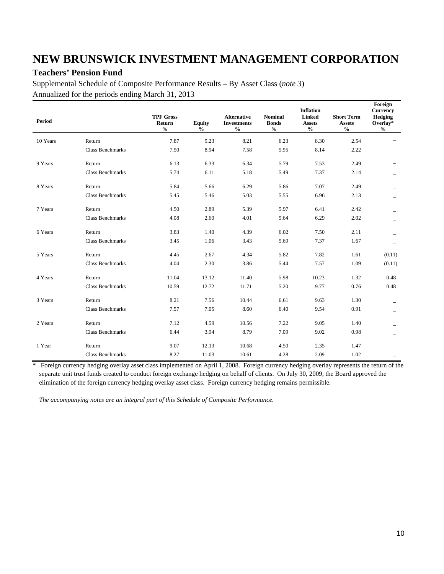### **Teachers' Pension Fund**

Supplemental Schedule of Composite Performance Results – By Asset Class (*note 3*) Annualized for the periods ending March 31, 2013

| Period   |                         | <b>TPF Gross</b><br>Return<br>$\frac{0}{0}$ | <b>Equity</b><br>$\frac{0}{0}$ | <b>Alternative</b><br><b>Investments</b><br>$\frac{0}{0}$ | <b>Nominal</b><br><b>Bonds</b><br>$\frac{0}{0}$ | <b>Inflation</b><br>Linked<br><b>Assets</b><br>$\boldsymbol{\theta}/\boldsymbol{0}$ | <b>Short Term</b><br><b>Assets</b><br>$\%$ | Foreign<br>Currency<br>Hedging<br>Overlay*<br>$\frac{0}{0}$ |
|----------|-------------------------|---------------------------------------------|--------------------------------|-----------------------------------------------------------|-------------------------------------------------|-------------------------------------------------------------------------------------|--------------------------------------------|-------------------------------------------------------------|
| 10 Years | Return                  | 7.87                                        | 9.23                           | 8.21                                                      | 6.23                                            | 8.30                                                                                | 2.54                                       |                                                             |
|          | Class Benchmarks        | 7.50                                        | 8.94                           | 7.58                                                      | 5.95                                            | 8.14                                                                                | 2.22                                       |                                                             |
| 9 Years  | Return                  | 6.13                                        | 6.33                           | 6.34                                                      | 5.79                                            | 7.53                                                                                | 2.49                                       |                                                             |
|          | <b>Class Benchmarks</b> | 5.74                                        | 6.11                           | 5.18                                                      | 5.49                                            | 7.37                                                                                | 2.14                                       |                                                             |
| 8 Years  | Return                  | 5.84                                        | 5.66                           | 6.29                                                      | 5.86                                            | 7.07                                                                                | 2.49                                       |                                                             |
|          | <b>Class Benchmarks</b> | 5.45                                        | 5.46                           | 5.03                                                      | 5.55                                            | 6.96                                                                                | 2.13                                       | $\overline{\phantom{0}}$                                    |
| 7 Years  | Return                  | 4.50                                        | 2.89                           | 5.39                                                      | 5.97                                            | 6.41                                                                                | 2.42                                       |                                                             |
|          | <b>Class Benchmarks</b> | 4.08                                        | 2.60                           | 4.01                                                      | 5.64                                            | 6.29                                                                                | 2.02                                       |                                                             |
| 6 Years  | Return                  | 3.83                                        | 1.40                           | 4.39                                                      | 6.02                                            | 7.50                                                                                | 2.11                                       |                                                             |
|          | <b>Class Benchmarks</b> | 3.45                                        | 1.06                           | 3.43                                                      | 5.69                                            | 7.37                                                                                | 1.67                                       |                                                             |
| 5 Years  | Return                  | 4.45                                        | 2.67                           | 4.34                                                      | 5.82                                            | 7.82                                                                                | 1.61                                       | (0.11)                                                      |
|          | <b>Class Benchmarks</b> | 4.04                                        | 2.30                           | 3.86                                                      | 5.44                                            | 7.57                                                                                | 1.09                                       | (0.11)                                                      |
| 4 Years  | Return                  | 11.04                                       | 13.12                          | 11.40                                                     | 5.98                                            | 10.23                                                                               | 1.32                                       | 0.48                                                        |
|          | <b>Class Benchmarks</b> | 10.59                                       | 12.72                          | 11.71                                                     | 5.20                                            | 9.77                                                                                | 0.76                                       | 0.48                                                        |
| 3 Years  | Return                  | 8.21                                        | 7.56                           | 10.44                                                     | 6.61                                            | 9.63                                                                                | 1.30                                       |                                                             |
|          | <b>Class Benchmarks</b> | 7.57                                        | 7.05                           | 8.60                                                      | 6.40                                            | 9.54                                                                                | 0.91                                       |                                                             |
| 2 Years  | Return                  | 7.12                                        | 4.59                           | 10.56                                                     | 7.22                                            | 9.05                                                                                | 1.40                                       |                                                             |
|          | <b>Class Benchmarks</b> | 6.44                                        | 3.94                           | 8.79                                                      | 7.09                                            | 9.02                                                                                | 0.98                                       |                                                             |
| 1 Year   | Return                  | 9.07                                        | 12.13                          | 10.68                                                     | 4.50                                            | 2.35                                                                                | 1.47                                       |                                                             |
|          | <b>Class Benchmarks</b> | 8.27                                        | 11.03                          | 10.61                                                     | 4.28                                            | 2.09                                                                                | 1.02                                       |                                                             |

\* Foreign currency hedging overlay asset class implemented on April 1, 2008. Foreign currency hedging overlay represents the return of the separate unit trust funds created to conduct foreign exchange hedging on behalf of clients. On July 30, 2009, the Board approved the elimination of the foreign currency hedging overlay asset class. Foreign currency hedging remains permissible.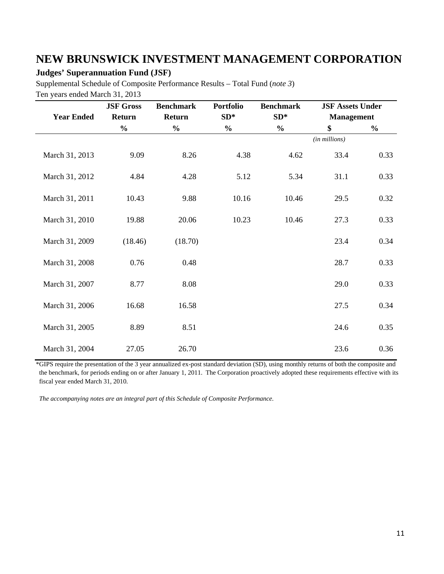### **Judges' Superannuation Fund (JSF)**

Supplemental Schedule of Composite Performance Results – Total Fund (*note 3*) Ten years ended March 31, 2013

|                   | <b>JSF Gross</b> | <b>Benchmark</b> | <b>Portfolio</b> | <b>Benchmark</b> | <b>JSF Assets Under</b> |               |
|-------------------|------------------|------------------|------------------|------------------|-------------------------|---------------|
| <b>Year Ended</b> | Return           | <b>Return</b>    | $SD*$            | $SD*$            | <b>Management</b>       |               |
|                   | $\frac{0}{0}$    | $\frac{0}{0}$    | $\frac{6}{6}$    | $\frac{0}{0}$    | \$                      | $\frac{0}{0}$ |
|                   |                  |                  |                  |                  | (in millions)           |               |
| March 31, 2013    | 9.09             | 8.26             | 4.38             | 4.62             | 33.4                    | 0.33          |
| March 31, 2012    | 4.84             | 4.28             | 5.12             | 5.34             | 31.1                    | 0.33          |
| March 31, 2011    | 10.43            | 9.88             | 10.16            | 10.46            | 29.5                    | 0.32          |
| March 31, 2010    | 19.88            | 20.06            | 10.23            | 10.46            | 27.3                    | 0.33          |
| March 31, 2009    | (18.46)          | (18.70)          |                  |                  | 23.4                    | 0.34          |
| March 31, 2008    | 0.76             | 0.48             |                  |                  | 28.7                    | 0.33          |
| March 31, 2007    | 8.77             | 8.08             |                  |                  | 29.0                    | 0.33          |
| March 31, 2006    | 16.68            | 16.58            |                  |                  | 27.5                    | 0.34          |
| March 31, 2005    | 8.89             | 8.51             |                  |                  | 24.6                    | 0.35          |
| March 31, 2004    | 27.05            | 26.70            |                  |                  | 23.6                    | 0.36          |

\*GIPS require the presentation of the 3 year annualized ex-post standard deviation (SD), using monthly returns of both the composite and the benchmark, for periods ending on or after January 1, 2011. The Corporation proactively adopted these requirements effective with its fiscal year ended March 31, 2010.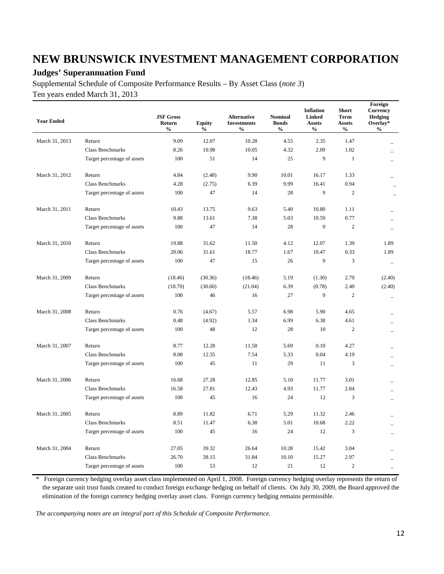### **Judges' Superannuation Fund**

Supplemental Schedule of Composite Performance Results – By Asset Class (*note 3*) Ten years ended March 31, 2013

| <b>Year Ended</b> |                             | <b>JSF Gross</b><br>Return<br>$\frac{0}{0}$ | <b>Equity</b><br>$\%$ | <b>Alternative</b><br><b>Investments</b><br>$\%$ | <b>Nominal</b><br><b>Bonds</b><br>$\%$ | <b>Inflation</b><br><b>Linked</b><br><b>Assets</b><br>$\%$ | <b>Short</b><br><b>Term</b><br><b>Assets</b><br>$\%$ | Foreign<br>Currency<br><b>Hedging</b><br>Overlay*<br>$\%$ |
|-------------------|-----------------------------|---------------------------------------------|-----------------------|--------------------------------------------------|----------------------------------------|------------------------------------------------------------|------------------------------------------------------|-----------------------------------------------------------|
| March 31, 2013    | Return                      | 9.09                                        | 12.07                 | 10.28                                            | 4.55                                   | 2.35                                                       | 1.47                                                 |                                                           |
|                   | <b>Class Benchmarks</b>     | 8.26                                        | 10.98                 | 10.05                                            | 4.32                                   | 2.09                                                       | 1.02                                                 |                                                           |
|                   | Target percentage of assets | 100                                         | 51                    | 14                                               | 25                                     | 9                                                          | $\mathbf{1}$                                         |                                                           |
| March 31, 2012    | Return                      | 4.84                                        | (2.48)                | 9.90                                             | 10.01                                  | 16.17                                                      | 1.33                                                 |                                                           |
|                   | <b>Class Benchmarks</b>     | 4.28                                        | (2.75)                | 6.39                                             | 9.99                                   | 16.41                                                      | 0.94                                                 |                                                           |
|                   | Target percentage of assets | 100                                         | 47                    | 14                                               | 28                                     | 9                                                          | $\overline{c}$                                       |                                                           |
| March 31, 2011    | Return                      | 10.43                                       | 13.75                 | 9.63                                             | 5.40                                   | 10.80                                                      | 1.11                                                 |                                                           |
|                   | Class Benchmarks            | 9.88                                        | 13.61                 | 7.38                                             | 5.03                                   | 10.59                                                      | 0.77                                                 |                                                           |
|                   | Target percentage of assets | 100                                         | 47                    | 14                                               | 28                                     | 9                                                          | $\overline{c}$                                       | $\overline{\phantom{a}}$                                  |
| March 31, 2010    | Return                      | 19.88                                       | 31.62                 | 11.50                                            | 4.12                                   | 12.07                                                      | 1.39                                                 | 1.89                                                      |
|                   | <b>Class Benchmarks</b>     | 20.06                                       | 31.61                 | 18.77                                            | 1.67                                   | 10.47                                                      | 0.33                                                 | 1.89                                                      |
|                   | Target percentage of assets | 100                                         | 47                    | 15                                               | 26                                     | 9                                                          | 3                                                    |                                                           |
| March 31, 2009    | Return                      | (18.46)                                     | (30.36)               | (18.46)                                          | 5.19                                   | (1.30)                                                     | 2.79                                                 | (2.40)                                                    |
|                   | <b>Class Benchmarks</b>     | (18.70)                                     | (30.60)               | (21.04)                                          | 6.39                                   | (0.78)                                                     | 2.40                                                 | (2.40)                                                    |
|                   | Target percentage of assets | 100                                         | 46                    | 16                                               | 27                                     | 9                                                          | $\mathfrak{2}$                                       | $\overline{\phantom{0}}$                                  |
| March 31, 2008    | Return                      | 0.76                                        | (4.67)                | 5.57                                             | 6.98                                   | 5.90                                                       | 4.65                                                 |                                                           |
|                   | <b>Class Benchmarks</b>     | 0.48                                        | (4.92)                | 1.34                                             | 6.99                                   | 6.38                                                       | 4.61                                                 |                                                           |
|                   | Target percentage of assets | 100                                         | 48                    | 12                                               | 28                                     | 10                                                         | $\overline{2}$                                       |                                                           |
| March 31, 2007    | Return                      | 8.77                                        | 12.28                 | 11.58                                            | 5.69                                   | 0.10                                                       | 4.27                                                 |                                                           |
|                   | <b>Class Benchmarks</b>     | 8.08                                        | 12.35                 | 7.54                                             | 5.33                                   | 0.04                                                       | 4.19                                                 |                                                           |
|                   | Target percentage of assets | 100                                         | 45                    | 11                                               | 29                                     | 11                                                         | 3                                                    | Ē,                                                        |
| March 31, 2006    | Return                      | 16.68                                       | 27.28                 | 12.85                                            | 5.10                                   | 11.77                                                      | 3.01                                                 |                                                           |
|                   | <b>Class Benchmarks</b>     | 16.58                                       | 27.81                 | 12.43                                            | 4.93                                   | 11.77                                                      | 2.84                                                 |                                                           |
|                   | Target percentage of assets | 100                                         | 45                    | 16                                               | 24                                     | 12                                                         | 3                                                    |                                                           |
| March 31, 2005    | Return                      | 8.89                                        | 11.82                 | 6.71                                             | 5.29                                   | 11.32                                                      | 2.46                                                 |                                                           |
|                   | <b>Class Benchmarks</b>     | 8.51                                        | 11.47                 | 6.38                                             | 5.01                                   | 10.68                                                      | 2.22                                                 |                                                           |
|                   | Target percentage of assets | 100                                         | 45                    | 16                                               | 24                                     | 12                                                         | 3                                                    | $\overline{\phantom{0}}$                                  |
| March 31, 2004    | Return                      | 27.05                                       | 39.32                 | 26.64                                            | 10.28                                  | 15.42                                                      | 3.04                                                 |                                                           |
|                   | Class Benchmarks            | 26.70                                       | 38.15                 | 31.84                                            | 10.10                                  | 15.27                                                      | 2.97                                                 |                                                           |
|                   | Target percentage of assets | 100                                         | 53                    | 12                                               | 21                                     | 12                                                         | $\overline{c}$                                       |                                                           |

\* Foreign currency hedging overlay asset class implemented on April 1, 2008. Foreign currency hedging overlay represents the return of the separate unit trust funds created to conduct foreign exchange hedging on behalf of clients. On July 30, 2009, the Board approved the elimination of the foreign currency hedging overlay asset class. Foreign currency hedging remains permissible.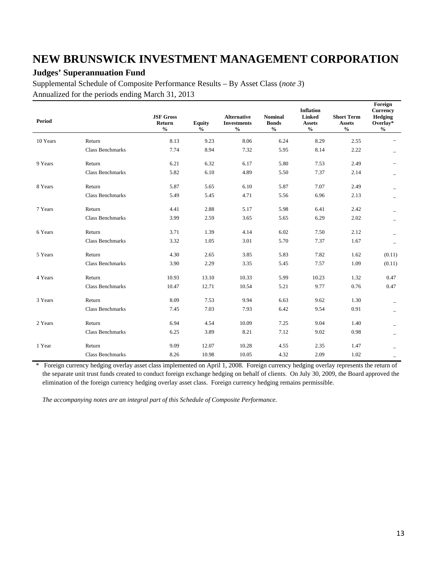### **Judges' Superannuation Fund**

Supplemental Schedule of Composite Performance Results – By Asset Class (*note 3*) Annualized for the periods ending March 31, 2013

| Period   |                         | <b>JSF Gross</b><br>Return<br>$\frac{0}{0}$ | <b>Equity</b><br>$\frac{0}{0}$ | <b>Alternative</b><br><b>Investments</b><br>$\frac{0}{0}$ | <b>Nominal</b><br><b>Bonds</b><br>$\frac{0}{0}$ | <b>Inflation</b><br>Linked<br><b>Assets</b><br>$\frac{0}{0}$ | <b>Short Term</b><br><b>Assets</b><br>$\frac{0}{0}$ | Foreign<br>Currency<br>Hedging<br>Overlay*<br>$\frac{0}{0}$ |
|----------|-------------------------|---------------------------------------------|--------------------------------|-----------------------------------------------------------|-------------------------------------------------|--------------------------------------------------------------|-----------------------------------------------------|-------------------------------------------------------------|
| 10 Years | Return                  | 8.13                                        | 9.23                           | 8.06                                                      | 6.24                                            | 8.29                                                         | 2.55                                                |                                                             |
|          | <b>Class Benchmarks</b> | 7.74                                        | 8.94                           | 7.32                                                      | 5.95                                            | 8.14                                                         | 2.22                                                | $\overline{\phantom{0}}$                                    |
| 9 Years  | Return                  | 6.21                                        | 6.32                           | 6.17                                                      | 5.80                                            | 7.53                                                         | 2.49                                                |                                                             |
|          | <b>Class Benchmarks</b> | 5.82                                        | 6.10                           | 4.89                                                      | 5.50                                            | 7.37                                                         | 2.14                                                |                                                             |
| 8 Years  | Return                  | 5.87                                        | 5.65                           | 6.10                                                      | 5.87                                            | 7.07                                                         | 2.49                                                |                                                             |
|          | <b>Class Benchmarks</b> | 5.49                                        | 5.45                           | 4.71                                                      | 5.56                                            | 6.96                                                         | 2.13                                                | $\overline{\phantom{0}}$                                    |
| 7 Years  | Return                  | 4.41                                        | 2.88                           | 5.17                                                      | 5.98                                            | 6.41                                                         | 2.42                                                |                                                             |
|          | <b>Class Benchmarks</b> | 3.99                                        | 2.59                           | 3.65                                                      | 5.65                                            | 6.29                                                         | 2.02                                                |                                                             |
| 6 Years  | Return                  | 3.71                                        | 1.39                           | 4.14                                                      | 6.02                                            | 7.50                                                         | 2.12                                                |                                                             |
|          | <b>Class Benchmarks</b> | 3.32                                        | 1.05                           | 3.01                                                      | 5.70                                            | 7.37                                                         | 1.67                                                | ÷                                                           |
| 5 Years  | Return                  | 4.30                                        | 2.65                           | 3.85                                                      | 5.83                                            | 7.82                                                         | 1.62                                                | (0.11)                                                      |
|          | <b>Class Benchmarks</b> | 3.90                                        | 2.29                           | 3.35                                                      | 5.45                                            | 7.57                                                         | 1.09                                                | (0.11)                                                      |
| 4 Years  | Return                  | 10.93                                       | 13.10                          | 10.33                                                     | 5.99                                            | 10.23                                                        | 1.32                                                | 0.47                                                        |
|          | Class Benchmarks        | 10.47                                       | 12.71                          | 10.54                                                     | 5.21                                            | 9.77                                                         | 0.76                                                | 0.47                                                        |
| 3 Years  | Return                  | 8.09                                        | 7.53                           | 9.94                                                      | 6.63                                            | 9.62                                                         | 1.30                                                |                                                             |
|          | <b>Class Benchmarks</b> | 7.45                                        | 7.03                           | 7.93                                                      | 6.42                                            | 9.54                                                         | 0.91                                                | $\overline{\phantom{0}}$                                    |
| 2 Years  | Return                  | 6.94                                        | 4.54                           | 10.09                                                     | 7.25                                            | 9.04                                                         | 1.40                                                |                                                             |
|          | <b>Class Benchmarks</b> | 6.25                                        | 3.89                           | 8.21                                                      | 7.12                                            | 9.02                                                         | 0.98                                                | -                                                           |
| 1 Year   | Return                  | 9.09                                        | 12.07                          | 10.28                                                     | 4.55                                            | 2.35                                                         | 1.47                                                |                                                             |
|          | <b>Class Benchmarks</b> | 8.26                                        | 10.98                          | 10.05                                                     | 4.32                                            | 2.09                                                         | 1.02                                                |                                                             |

\* Foreign currency hedging overlay asset class implemented on April 1, 2008. Foreign currency hedging overlay represents the return of the separate unit trust funds created to conduct foreign exchange hedging on behalf of clients. On July 30, 2009, the Board approved the elimination of the foreign currency hedging overlay asset class. Foreign currency hedging remains permissible.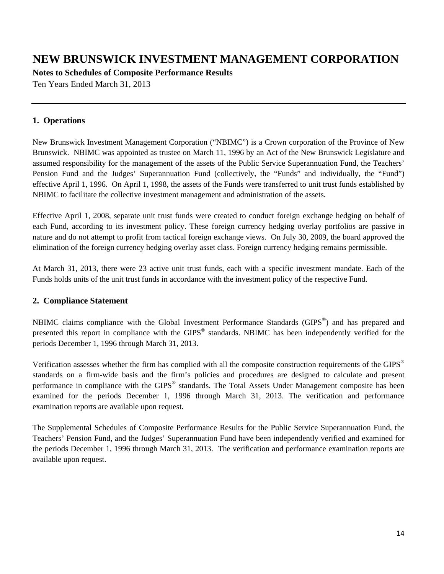**Notes to Schedules of Composite Performance Results** 

Ten Years Ended March 31, 2013

### **1. Operations**

New Brunswick Investment Management Corporation ("NBIMC") is a Crown corporation of the Province of New Brunswick. NBIMC was appointed as trustee on March 11, 1996 by an Act of the New Brunswick Legislature and assumed responsibility for the management of the assets of the Public Service Superannuation Fund, the Teachers' Pension Fund and the Judges' Superannuation Fund (collectively, the "Funds" and individually, the "Fund") effective April 1, 1996. On April 1, 1998, the assets of the Funds were transferred to unit trust funds established by NBIMC to facilitate the collective investment management and administration of the assets.

Effective April 1, 2008, separate unit trust funds were created to conduct foreign exchange hedging on behalf of each Fund, according to its investment policy. These foreign currency hedging overlay portfolios are passive in nature and do not attempt to profit from tactical foreign exchange views. On July 30, 2009, the board approved the elimination of the foreign currency hedging overlay asset class. Foreign currency hedging remains permissible.

At March 31, 2013, there were 23 active unit trust funds, each with a specific investment mandate. Each of the Funds holds units of the unit trust funds in accordance with the investment policy of the respective Fund.

#### **2. Compliance Statement**

NBIMC claims compliance with the Global Investment Performance Standards (GIPS<sup>®</sup>) and has prepared and presented this report in compliance with the GIPS® standards. NBIMC has been independently verified for the periods December 1, 1996 through March 31, 2013.

Verification assesses whether the firm has complied with all the composite construction requirements of the GIPS<sup>®</sup> standards on a firm-wide basis and the firm's policies and procedures are designed to calculate and present performance in compliance with the GIPS® standards. The Total Assets Under Management composite has been examined for the periods December 1, 1996 through March 31, 2013. The verification and performance examination reports are available upon request.

The Supplemental Schedules of Composite Performance Results for the Public Service Superannuation Fund, the Teachers' Pension Fund, and the Judges' Superannuation Fund have been independently verified and examined for the periods December 1, 1996 through March 31, 2013. The verification and performance examination reports are available upon request.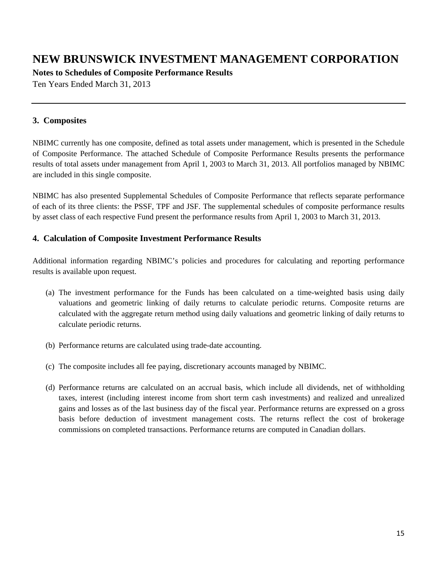**Notes to Schedules of Composite Performance Results** 

Ten Years Ended March 31, 2013

#### **3. Composites**

NBIMC currently has one composite, defined as total assets under management, which is presented in the Schedule of Composite Performance. The attached Schedule of Composite Performance Results presents the performance results of total assets under management from April 1, 2003 to March 31, 2013. All portfolios managed by NBIMC are included in this single composite.

NBIMC has also presented Supplemental Schedules of Composite Performance that reflects separate performance of each of its three clients: the PSSF, TPF and JSF. The supplemental schedules of composite performance results by asset class of each respective Fund present the performance results from April 1, 2003 to March 31, 2013.

#### **4. Calculation of Composite Investment Performance Results**

Additional information regarding NBIMC's policies and procedures for calculating and reporting performance results is available upon request.

- (a) The investment performance for the Funds has been calculated on a time-weighted basis using daily valuations and geometric linking of daily returns to calculate periodic returns. Composite returns are calculated with the aggregate return method using daily valuations and geometric linking of daily returns to calculate periodic returns.
- (b) Performance returns are calculated using trade-date accounting.
- (c) The composite includes all fee paying, discretionary accounts managed by NBIMC.
- (d) Performance returns are calculated on an accrual basis, which include all dividends, net of withholding taxes, interest (including interest income from short term cash investments) and realized and unrealized gains and losses as of the last business day of the fiscal year. Performance returns are expressed on a gross basis before deduction of investment management costs. The returns reflect the cost of brokerage commissions on completed transactions. Performance returns are computed in Canadian dollars.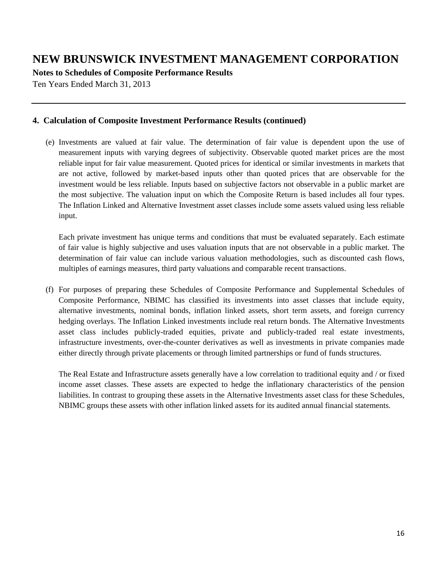**Notes to Schedules of Composite Performance Results** 

Ten Years Ended March 31, 2013

#### **4. Calculation of Composite Investment Performance Results (continued)**

(e) Investments are valued at fair value. The determination of fair value is dependent upon the use of measurement inputs with varying degrees of subjectivity. Observable quoted market prices are the most reliable input for fair value measurement. Quoted prices for identical or similar investments in markets that are not active, followed by market-based inputs other than quoted prices that are observable for the investment would be less reliable. Inputs based on subjective factors not observable in a public market are the most subjective. The valuation input on which the Composite Return is based includes all four types. The Inflation Linked and Alternative Investment asset classes include some assets valued using less reliable input.

Each private investment has unique terms and conditions that must be evaluated separately. Each estimate of fair value is highly subjective and uses valuation inputs that are not observable in a public market. The determination of fair value can include various valuation methodologies, such as discounted cash flows, multiples of earnings measures, third party valuations and comparable recent transactions.

(f) For purposes of preparing these Schedules of Composite Performance and Supplemental Schedules of Composite Performance, NBIMC has classified its investments into asset classes that include equity, alternative investments, nominal bonds, inflation linked assets, short term assets, and foreign currency hedging overlays. The Inflation Linked investments include real return bonds. The Alternative Investments asset class includes publicly-traded equities, private and publicly-traded real estate investments, infrastructure investments, over-the-counter derivatives as well as investments in private companies made either directly through private placements or through limited partnerships or fund of funds structures.

The Real Estate and Infrastructure assets generally have a low correlation to traditional equity and / or fixed income asset classes. These assets are expected to hedge the inflationary characteristics of the pension liabilities. In contrast to grouping these assets in the Alternative Investments asset class for these Schedules, NBIMC groups these assets with other inflation linked assets for its audited annual financial statements.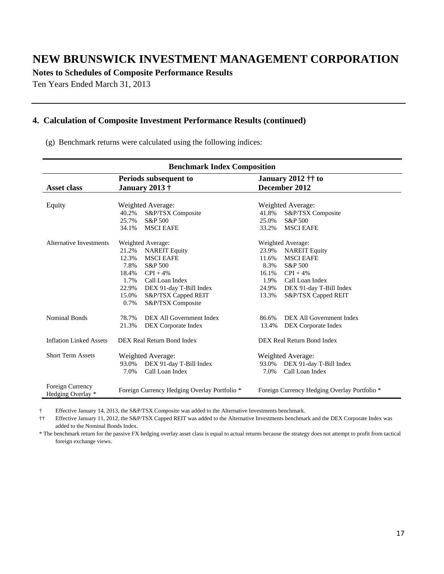**Notes to Schedules of Composite Performance Results** 

Ten Years Ended March 31, 2013

#### **4. Calculation of Composite Investment Performance Results (continued)**

(g) Benchmark returns were calculated using the following indices:

| <b>Benchmark Index Composition</b>    |                                                                                                                                                                                                                                                       |                                                                                                                                                                                                                          |  |  |
|---------------------------------------|-------------------------------------------------------------------------------------------------------------------------------------------------------------------------------------------------------------------------------------------------------|--------------------------------------------------------------------------------------------------------------------------------------------------------------------------------------------------------------------------|--|--|
| <b>Asset class</b>                    | Periods subsequent to<br>January 2013 †                                                                                                                                                                                                               | January 2012 $\dagger \dagger$ to<br>December 2012                                                                                                                                                                       |  |  |
| Equity                                | Weighted Average:<br>40.2%<br>S&P/TSX Composite<br>25.7%<br>S&P 500<br>34.1%<br><b>MSCI EAFE</b>                                                                                                                                                      | Weighted Average:<br>41.8%<br>S&P/TSX Composite<br>25.0%<br>S&P 500<br>33.2%<br><b>MSCI EAFE</b>                                                                                                                         |  |  |
| <b>Alternative Investments</b>        | Weighted Average:<br>21.2%<br><b>NAREIT Equity</b><br>12.3%<br><b>MSCI EAFE</b><br>7.8%<br>S&P 500<br>18.4%<br>$CPI + 4%$<br>1.7%<br>Call Loan Index<br>22.9%<br>DEX 91-day T-Bill Index<br>S&P/TSX Capped REIT<br>15.0%<br>0.7%<br>S&P/TSX Composite | Weighted Average:<br>23.9%<br><b>NAREIT Equity</b><br><b>MSCI EAFE</b><br>11.6%<br>8.3%<br>S&P 500<br>$CPI + 4%$<br>16.1%<br>Call Loan Index<br>1.9%<br>DEX 91-day T-Bill Index<br>24.9%<br>S&P/TSX Capped REIT<br>13.3% |  |  |
| <b>Nominal Bonds</b>                  | DEX All Government Index<br>78.7%<br>21.3%<br>DEX Corporate Index                                                                                                                                                                                     | 86.6%<br>DEX All Government Index<br>DEX Corporate Index<br>13.4%                                                                                                                                                        |  |  |
| <b>Inflation Linked Assets</b>        | DEX Real Return Bond Index                                                                                                                                                                                                                            | DEX Real Return Bond Index                                                                                                                                                                                               |  |  |
| <b>Short Term Assets</b>              | Weighted Average:<br>DEX 91-day T-Bill Index<br>93.0%<br>7.0%<br>Call Loan Index                                                                                                                                                                      | Weighted Average:<br>DEX 91-day T-Bill Index<br>93.0%<br>Call Loan Index<br>7.0%                                                                                                                                         |  |  |
| Foreign Currency<br>Hedging Overlay * | Foreign Currency Hedging Overlay Portfolio *                                                                                                                                                                                                          | Foreign Currency Hedging Overlay Portfolio *                                                                                                                                                                             |  |  |

† Effective January 14, 2013, the S&P/TSX Composite was added to the Alternative Investments benchmark.

†† Effective January 11, 2012, the S&P/TSX Capped REIT was added to the Alternative Investments benchmark and the DEX Corporate Index was added to the Nominal Bonds Index.

\* The benchmark return for the passive FX hedging overlay asset class is equal to actual returns because the strategy does not attempt to profit from tactical foreign exchange views.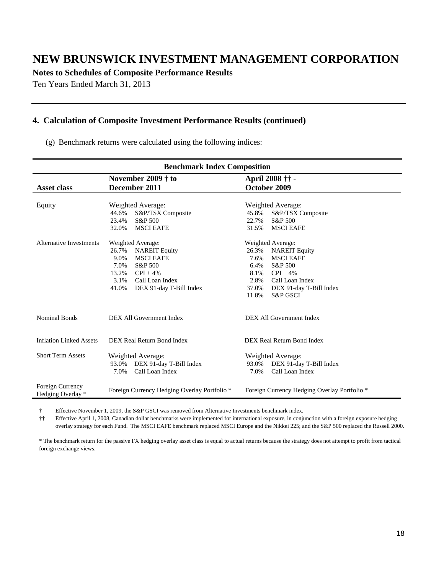**Notes to Schedules of Composite Performance Results** 

Ten Years Ended March 31, 2013

#### **4. Calculation of Composite Investment Performance Results (continued)**

(g) Benchmark returns were calculated using the following indices:

| <b>Benchmark Index Composition</b>    |                                                                                                                                                                                          |                                                                                                                                                                                                                        |  |  |
|---------------------------------------|------------------------------------------------------------------------------------------------------------------------------------------------------------------------------------------|------------------------------------------------------------------------------------------------------------------------------------------------------------------------------------------------------------------------|--|--|
|                                       | November 2009 $\dagger$ to                                                                                                                                                               | April 2008 †† -                                                                                                                                                                                                        |  |  |
| <b>Asset class</b>                    | December 2011                                                                                                                                                                            | October 2009                                                                                                                                                                                                           |  |  |
| Equity                                | Weighted Average:<br>44.6%<br>S&P/TSX Composite<br>S&P 500<br>23.4%<br><b>MSCI EAFE</b><br>32.0%                                                                                         | Weighted Average:<br>45.8%<br>S&P/TSX Composite<br>22.7%<br>S&P 500<br><b>MSCI EAFE</b><br>31.5%                                                                                                                       |  |  |
| <b>Alternative Investments</b>        | Weighted Average:<br><b>NAREIT Equity</b><br>26.7%<br><b>MSCI EAFE</b><br>9.0%<br>S&P 500<br>7.0%<br>13.2%<br>$CPI + 4\%$<br>3.1%<br>Call Loan Index<br>41.0%<br>DEX 91-day T-Bill Index | Weighted Average:<br>26.3%<br><b>NAREIT Equity</b><br><b>MSCI EAFE</b><br>7.6%<br>S&P 500<br>6.4%<br>$CPI + 4%$<br>8.1%<br>2.8%<br>Call Loan Index<br>37.0%<br>DEX 91-day T-Bill Index<br><b>S&amp;P GSCI</b><br>11.8% |  |  |
| Nominal Bonds                         | DEX All Government Index                                                                                                                                                                 | DEX All Government Index                                                                                                                                                                                               |  |  |
| <b>Inflation Linked Assets</b>        | DEX Real Return Bond Index                                                                                                                                                               | DEX Real Return Bond Index                                                                                                                                                                                             |  |  |
| <b>Short Term Assets</b>              | Weighted Average:<br>DEX 91-day T-Bill Index<br>93.0%<br>Call Loan Index<br>7.0%                                                                                                         | Weighted Average:<br>DEX 91-day T-Bill Index<br>93.0%<br>Call Loan Index<br>7.0%                                                                                                                                       |  |  |
| Foreign Currency<br>Hedging Overlay * | Foreign Currency Hedging Overlay Portfolio <sup>*</sup>                                                                                                                                  | Foreign Currency Hedging Overlay Portfolio *                                                                                                                                                                           |  |  |

† Effective November 1, 2009, the S&P GSCI was removed from Alternative Investments benchmark index.

†† Effective April 1, 2008, Canadian dollar benchmarks were implemented for international exposure, in conjunction with a foreign exposure hedging overlay strategy for each Fund. The MSCI EAFE benchmark replaced MSCI Europe and the Nikkei 225; and the S&P 500 replaced the Russell 2000.

\* The benchmark return for the passive FX hedging overlay asset class is equal to actual returns because the strategy does not attempt to profit from tactical foreign exchange views.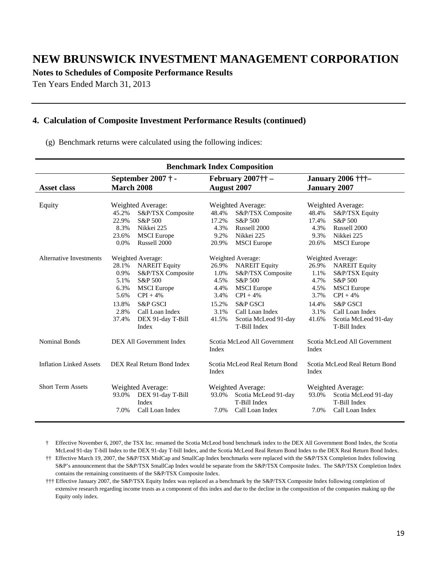**Notes to Schedules of Composite Performance Results** 

Ten Years Ended March 31, 2013

#### **4. Calculation of Composite Investment Performance Results (continued)**

(g) Benchmark returns were calculated using the following indices:

| <b>Benchmark Index Composition</b> |                                                 |                                                                 |                                         |                      |                                         |                      |  |
|------------------------------------|-------------------------------------------------|-----------------------------------------------------------------|-----------------------------------------|----------------------|-----------------------------------------|----------------------|--|
|                                    |                                                 | September 2007 $\dagger$ -<br>February $2007 \dagger \dagger$ – |                                         | January 2006 †††–    |                                         |                      |  |
| <b>Asset class</b>                 | <b>March 2008</b>                               |                                                                 | <b>August 2007</b>                      |                      | <b>January 2007</b>                     |                      |  |
|                                    |                                                 |                                                                 |                                         |                      |                                         |                      |  |
| Equity                             | Weighted Average:                               |                                                                 |                                         | Weighted Average:    |                                         | Weighted Average:    |  |
|                                    | 45.2%                                           | S&P/TSX Composite                                               | 48.4%                                   | S&P/TSX Composite    | 48.4%                                   | S&P/TSX Equity       |  |
|                                    | 22.9%                                           | S&P 500                                                         | 17.2%                                   | S&P 500              | 17.4%                                   | S&P 500              |  |
|                                    | 8.3%                                            | Nikkei 225                                                      | 4.3%                                    | Russell 2000         | 4.3%                                    | Russell 2000         |  |
|                                    | 23.6%                                           | <b>MSCI</b> Europe                                              | 9.2%                                    | Nikkei 225           | 9.3%                                    | Nikkei 225           |  |
|                                    | 0.0%                                            | Russell 2000                                                    | 20.9%                                   | <b>MSCI</b> Europe   | 20.6%                                   | <b>MSCI</b> Europe   |  |
| <b>Alternative Investments</b>     |                                                 | Weighted Average:                                               | Weighted Average:                       |                      | Weighted Average:                       |                      |  |
|                                    | 28.1%                                           | <b>NAREIT Equity</b>                                            | 26.9%                                   | <b>NAREIT Equity</b> | 26.9%                                   | <b>NAREIT Equity</b> |  |
|                                    | 0.9%                                            | S&P/TSX Composite                                               | 1.0%                                    | S&P/TSX Composite    | 1.1%                                    | S&P/TSX Equity       |  |
|                                    | 5.1%                                            | S&P 500                                                         | 4.5%                                    | S&P 500              | 4.7%                                    | S&P 500              |  |
|                                    | 6.3%                                            | <b>MSCI</b> Europe                                              | 4.4%                                    | <b>MSCI</b> Europe   | 4.5%                                    | <b>MSCI</b> Europe   |  |
|                                    | 5.6%                                            | $CPI + 4%$                                                      | 3.4%                                    | $CPI + 4\%$          | 3.7%                                    | $CPI + 4%$           |  |
|                                    | 13.8%                                           | <b>S&amp;P GSCI</b>                                             | 15.2%                                   | <b>S&amp;P GSCI</b>  | 14.4%                                   | <b>S&amp;P GSCI</b>  |  |
|                                    | 2.8%                                            | Call Loan Index                                                 | 3.1%                                    | Call Loan Index      | 3.1%                                    | Call Loan Index      |  |
|                                    | 37.4%                                           | DEX 91-day T-Bill                                               | 41.5%                                   | Scotia McLeod 91-day | 41.6%                                   | Scotia McLeod 91-day |  |
|                                    |                                                 | Index                                                           |                                         | T-Bill Index         |                                         | T-Bill Index         |  |
| <b>Nominal Bonds</b>               | DEX All Government Index                        |                                                                 | Scotia McLeod All Government<br>Index   |                      | Scotia McLeod All Government<br>Index   |                      |  |
| <b>Inflation Linked Assets</b>     | DEX Real Return Bond Index                      |                                                                 | Scotia McLeod Real Return Bond<br>Index |                      | Scotia McLeod Real Return Bond<br>Index |                      |  |
| <b>Short Term Assets</b>           |                                                 |                                                                 | Weighted Average:                       |                      | Weighted Average:                       |                      |  |
|                                    | Weighted Average:<br>93.0%<br>DEX 91-day T-Bill |                                                                 | 93.0%<br>Scotia McLeod 91-day           |                      | 93.0%<br>Scotia McLeod 91-day           |                      |  |
|                                    |                                                 | Index                                                           |                                         | T-Bill Index         |                                         | T-Bill Index         |  |
|                                    | 7.0%                                            | Call Loan Index                                                 | 7.0%                                    | Call Loan Index      | 7.0%                                    | Call Loan Index      |  |
|                                    |                                                 |                                                                 |                                         |                      |                                         |                      |  |

† Effective November 6, 2007, the TSX Inc. renamed the Scotia McLeod bond benchmark index to the DEX All Government Bond Index, the Scotia McLeod 91-day T-bill Index to the DEX 91-day T-bill Index, and the Scotia McLeod Real Return Bond Index to the DEX Real Return Bond Index.

†† Effective March 19, 2007, the S&P/TSX MidCap and SmallCap Index benchmarks were replaced with the S&P/TSX Completion Index following S&P's announcement that the S&P/TSX SmallCap Index would be separate from the S&P/TSX Composite Index. The S&P/TSX Completion Index contains the remaining constituents of the S&P/TSX Composite Index.

††† Effective January 2007, the S&P/TSX Equity Index was replaced as a benchmark by the S&P/TSX Composite Index following completion of extensive research regarding income trusts as a component of this index and due to the decline in the composition of the companies making up the Equity only index.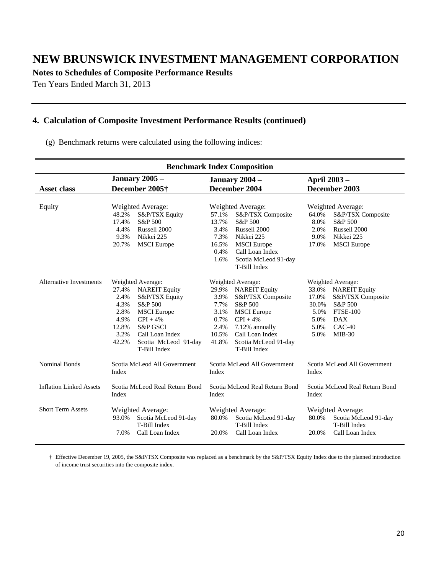**Notes to Schedules of Composite Performance Results** 

Ten Years Ended March 31, 2013

### **4. Calculation of Composite Investment Performance Results (continued)**

(g) Benchmark returns were calculated using the following indices:

| <b>Benchmark Index Composition</b> |                                                                                                                                                                                                                                                                 |                                                                                                                                                                                                                                                               |                                                                                                                                                                                               |  |  |
|------------------------------------|-----------------------------------------------------------------------------------------------------------------------------------------------------------------------------------------------------------------------------------------------------------------|---------------------------------------------------------------------------------------------------------------------------------------------------------------------------------------------------------------------------------------------------------------|-----------------------------------------------------------------------------------------------------------------------------------------------------------------------------------------------|--|--|
| <b>Asset class</b>                 | <b>January 2005 -</b>                                                                                                                                                                                                                                           | January 2004 -                                                                                                                                                                                                                                                | <b>April 2003 -</b>                                                                                                                                                                           |  |  |
|                                    | December 2005†                                                                                                                                                                                                                                                  | December 2004                                                                                                                                                                                                                                                 | December 2003                                                                                                                                                                                 |  |  |
| Equity                             | Weighted Average:<br>48.2%<br>S&P/TSX Equity<br>17.4%<br>S&P 500<br>4.4%<br>Russell 2000<br>9.3%<br>Nikkei 225<br>20.7%<br><b>MSCI</b> Europe                                                                                                                   | Weighted Average:<br>57.1%<br>S&P/TSX Composite<br>13.7%<br>S&P 500<br>3.4%<br>Russell 2000<br>7.3%<br>Nikkei 225<br>16.5%<br><b>MSCI</b> Europe<br>Call Loan Index<br>0.4%<br>1.6%<br>Scotia McLeod 91-day<br>T-Bill Index                                   | Weighted Average:<br>64.0%<br>S&P/TSX Composite<br>8.0%<br>S&P 500<br>2.0%<br>Russell 2000<br>9.0%<br>Nikkei 225<br>17.0%<br><b>MSCI</b> Europe                                               |  |  |
| <b>Alternative Investments</b>     | Weighted Average:<br><b>NAREIT Equity</b><br>27.4%<br>S&P/TSX Equity<br>2.4%<br>4.3%<br>S&P 500<br>2.8%<br><b>MSCI</b> Europe<br>4.9%<br>$CPI + 4%$<br>12.8%<br><b>S&amp;P GSCI</b><br>3.2%<br>Call Loan Index<br>42.2%<br>Scotia McLeod 91-day<br>T-Bill Index | Weighted Average:<br><b>NAREIT Equity</b><br>29.9%<br>3.9%<br>S&P/TSX Composite<br>S&P 500<br>7.7%<br><b>MSCI</b> Europe<br>3.1%<br>$CPI + 4%$<br>0.7%<br>7.12% annually<br>2.4%<br>Call Loan Index<br>10.5%<br>41.8%<br>Scotia McLeod 91-day<br>T-Bill Index | Weighted Average:<br><b>NAREIT Equity</b><br>33.0%<br>S&P/TSX Composite<br>17.0%<br>S&P 500<br>30.0%<br><b>FTSE-100</b><br>5.0%<br>5.0%<br><b>DAX</b><br>$CAC-40$<br>5.0%<br>$MIB-30$<br>5.0% |  |  |
| <b>Nominal Bonds</b>               | Scotia McLeod All Government                                                                                                                                                                                                                                    | Scotia McLeod All Government                                                                                                                                                                                                                                  | Scotia McLeod All Government                                                                                                                                                                  |  |  |
|                                    | Index                                                                                                                                                                                                                                                           | Index                                                                                                                                                                                                                                                         | Index                                                                                                                                                                                         |  |  |
| <b>Inflation Linked Assets</b>     | Scotia McLeod Real Return Bond                                                                                                                                                                                                                                  | Scotia McLeod Real Return Bond                                                                                                                                                                                                                                | Scotia McLeod Real Return Bond                                                                                                                                                                |  |  |
|                                    | Index                                                                                                                                                                                                                                                           | Index                                                                                                                                                                                                                                                         | Index                                                                                                                                                                                         |  |  |
| <b>Short Term Assets</b>           | Weighted Average:                                                                                                                                                                                                                                               | Weighted Average:                                                                                                                                                                                                                                             | Weighted Average:                                                                                                                                                                             |  |  |
|                                    | Scotia McLeod 91-day                                                                                                                                                                                                                                            | Scotia McLeod 91-day                                                                                                                                                                                                                                          | Scotia McLeod 91-day                                                                                                                                                                          |  |  |
|                                    | 93.0%                                                                                                                                                                                                                                                           | 80.0%                                                                                                                                                                                                                                                         | 80.0%                                                                                                                                                                                         |  |  |
|                                    | T-Bill Index                                                                                                                                                                                                                                                    | T-Bill Index                                                                                                                                                                                                                                                  | T-Bill Index                                                                                                                                                                                  |  |  |
|                                    | Call Loan Index                                                                                                                                                                                                                                                 | Call Loan Index                                                                                                                                                                                                                                               | Call Loan Index                                                                                                                                                                               |  |  |
|                                    | 7.0%                                                                                                                                                                                                                                                            | 20.0%                                                                                                                                                                                                                                                         | 20.0%                                                                                                                                                                                         |  |  |

† Effective December 19, 2005, the S&P/TSX Composite was replaced as a benchmark by the S&P/TSX Equity Index due to the planned introduction of income trust securities into the composite index.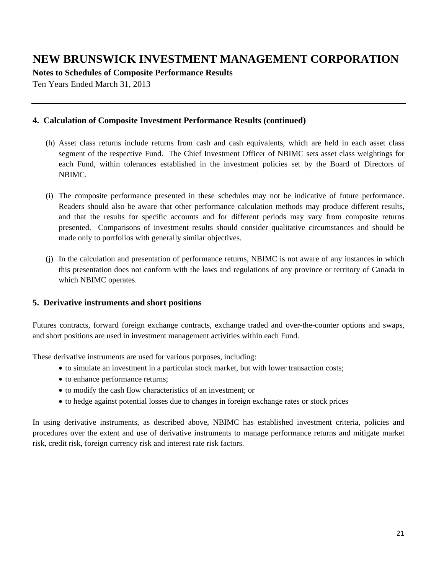**Notes to Schedules of Composite Performance Results** 

Ten Years Ended March 31, 2013

#### **4. Calculation of Composite Investment Performance Results (continued)**

- (h) Asset class returns include returns from cash and cash equivalents, which are held in each asset class segment of the respective Fund. The Chief Investment Officer of NBIMC sets asset class weightings for each Fund, within tolerances established in the investment policies set by the Board of Directors of NBIMC.
- (i) The composite performance presented in these schedules may not be indicative of future performance. Readers should also be aware that other performance calculation methods may produce different results, and that the results for specific accounts and for different periods may vary from composite returns presented. Comparisons of investment results should consider qualitative circumstances and should be made only to portfolios with generally similar objectives.
- (j) In the calculation and presentation of performance returns, NBIMC is not aware of any instances in which this presentation does not conform with the laws and regulations of any province or territory of Canada in which NBIMC operates.

#### **5. Derivative instruments and short positions**

Futures contracts, forward foreign exchange contracts, exchange traded and over-the-counter options and swaps, and short positions are used in investment management activities within each Fund.

These derivative instruments are used for various purposes, including:

- to simulate an investment in a particular stock market, but with lower transaction costs;
- to enhance performance returns;
- to modify the cash flow characteristics of an investment; or
- to hedge against potential losses due to changes in foreign exchange rates or stock prices

In using derivative instruments, as described above, NBIMC has established investment criteria, policies and procedures over the extent and use of derivative instruments to manage performance returns and mitigate market risk, credit risk, foreign currency risk and interest rate risk factors.